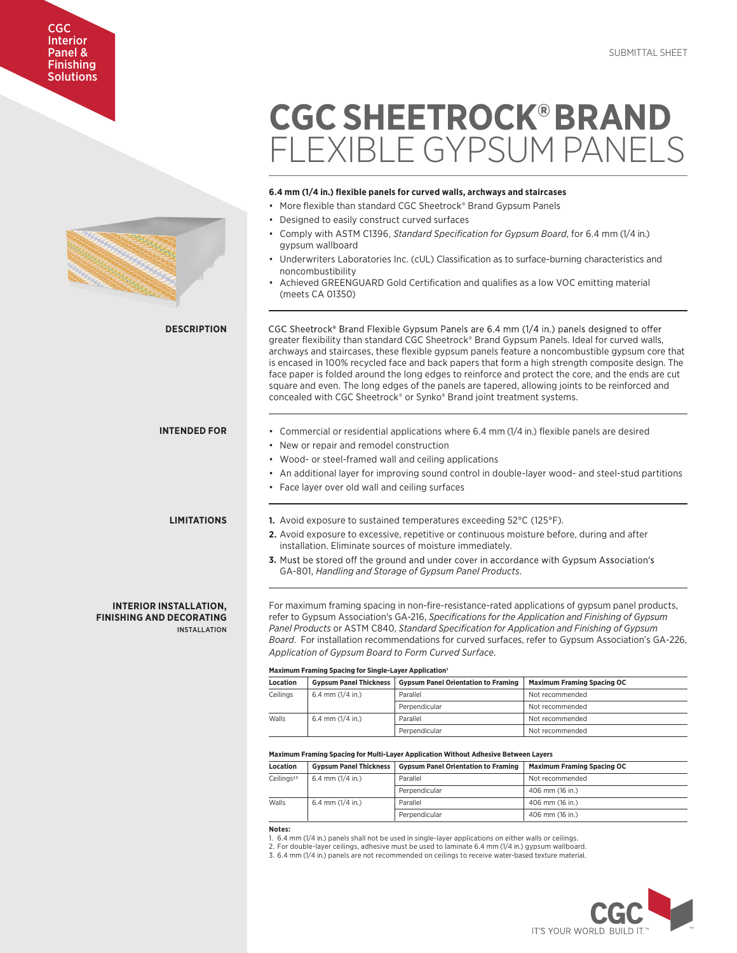# Interior Panel & Finishing CGC **Solutions**

# FLEXIBLE GYPSUM PANELS **6.4 mm (1/4 in.) flexible panels for curved walls, archways and staircases** • More flexible than standard CGC Sheetrock® Brand Gypsum Panels • Designed to easily construct curved surfaces • Comply with ASTM C1396, *Standard Specification for Gypsum Board*, for 6.4 mm (1/4 in.) gypsum wallboard Underwriters Laboratories Inc. (cUL) Classification as to surface-burning characteristics and noncombustibility • Achieved GREENGUARD Gold Certification and qualifies as a low VOC emitting material (meets CA 01350) **DESCRIPTION** CGC Sheetrock® Brand Flexible Gypsum Panels are 6.4 mm (1/4 in.) panels designed to offer greater flexibility than standard CGC Sheetrock® Brand Gypsum Panels. Ideal for curved walls, archways and staircases, these flexible gypsum panels feature a noncombustible gypsum core that is encased in 100% recycled face and back papers that form a high strength composite design. The face paper is folded around the long edges to reinforce and protect the core, and the ends are cut square and even. The long edges of the panels are tapered, allowing joints to be reinforced and concealed with CGC Sheetrock® or Synko® Brand joint treatment systems. **INTENDED FOR** • Commercial or residential applications where 6.4 mm (1/4 in.) flexible panels are desired • New or repair and remodel construction • Wood- or steel-framed wall and ceiling applications • An additional layer for improving sound control in double-layer wood- and steel-stud partitions • Face layer over old wall and ceiling surfaces **LIMITATIONS 1.** Avoid exposure to sustained temperatures exceeding 52°C (125°F). **2.** Avoid exposure to excessive, repetitive or continuous moisture before, during and after installation. Eliminate sources of moisture immediately. **3.** Must be stored off the ground and under cover in accordance with Gypsum Association's GA-801, *Handling and Storage of Gypsum Panel Products*. **INTERIOR INSTALLATION,** For maximum framing spacing in non-fire-resistance-rated applications of gypsum panel products, **FINISHING AND DECORATING** refer to Gypsum Association's GA-216, *Specifications for the Application and Finishing of Gypsum Panel Products* or ASTM C840, *Standard Specification for Application and Finishing of Gypsum*  INSTALL ATION *Board*. For installation recommendations for curved surfaces, refer to Gypsum Association's GA-226, *Application of Gypsum Board to Form Curved Surface*. **Maximum Framing Spacing for Single-Layer Application Location Gypsum Panel Thickness Gypsum Panel Orientation to Framing Maximum Framing Spacing OC**  $C \neq 6.4$  mm  $(1/4 \text{ in})$  Parallel Not recommended Perpendicular Not recommended Walls 6.4 mm (1/4 in.) Parallel Not recommended Perpendicular Not recommended **Maximum Framing Spacing for Multi-Layer Application Without Adhesive Between Layers Location Gypsum Panel Thickness Gypsum Panel Orientation to Framing Maximum Framing Spacing OC**  $\text{Ceilings}^{2,3}$  | 6.4 mm (1/4 in.) Parallel  $\blacksquare$  Parallel Not recommended Perpendicular 406 mm (16 in.) Walls 6.4 mm (1/4 in.) Parallel 406 mm (16 in.)

**CGC SHEETROCK®BRAND** 

**Notes:**

1. 6.4 mm (1/4 in.) panels shall not be used in single-layer applications on either walls or ceilings.

2. For double-layer ceilings, adhesive must be used to laminate 6.4 mm (1/4 in.) gypsum wallboard.

3. 6.4 mm (1/4 in.) panels are not recommended on ceilings to receive water-based texture material.

Perpendicular 206 mm (16 in.)

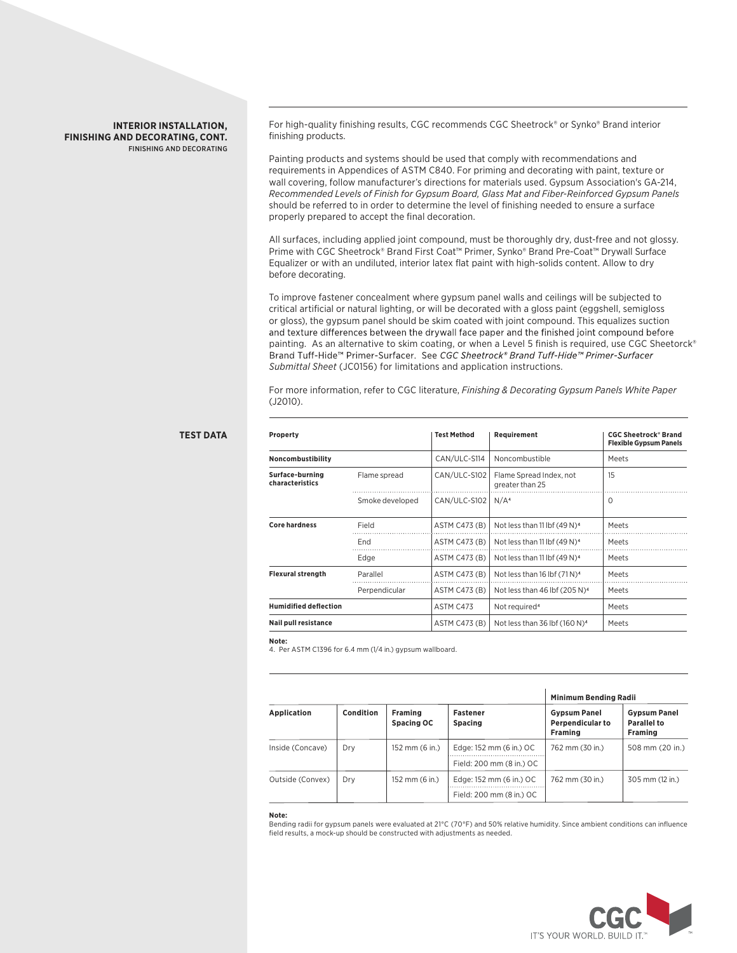## **INTERIOR INSTALLATION, FINISHING AND DECORATING, CONT.** FINISHING AND DECORATING

For high-quality finishing results, CGC recommends CGC Sheetrock® or Synko® Brand interior finishing products.

Painting products and systems should be used that comply with recommendations and requirements in Appendices of ASTM C840. For priming and decorating with paint, texture or wall covering, follow manufacturer's directions for materials used. Gypsum Association's GA-214, *Recommended Levels of Finish for Gypsum Board, Glass Mat and Fiber-Reinforced Gypsum Panels* should be referred to in order to determine the level of finishing needed to ensure a surface properly prepared to accept the final decoration.

All surfaces, including applied joint compound, must be thoroughly dry, dust-free and not glossy. Prime with CGC Sheetrock® Brand First Coat™ Primer, Synko® Brand Pre-Coat™ Drywall Surface Equalizer or with an undiluted, interior latex flat paint with high-solids content. Allow to dry before decorating.

To improve fastener concealment where gypsum panel walls and ceilings will be subjected to critical artificial or natural lighting, or will be decorated with a gloss paint (eggshell, semigloss or gloss), the gypsum panel should be skim coated with joint compound. This equalizes suction and texture differences between the drywall face paper and the finished joint compound before painting. As an alternative to skim coating, or when a Level 5 finish is required, use CGC Sheetorck® Brand Tuff-Hide™ Primer-Surfacer. See CGC Sheetrock® Brand Tuff-Hide™ Primer-Surfacer *Submittal Sheet* (JC0156) for limitations and application instructions.

For more information, refer to CGC literature, *Finishing & Decorating Gypsum Panels White Paper* (J2010).

| Property<br>Noncombustibility      |                 | <b>Test Method</b> | Requirement                                | <b>CGC Sheetrock<sup>®</sup> Brand</b><br><b>Flexible Gypsum Panels</b> |  |
|------------------------------------|-----------------|--------------------|--------------------------------------------|-------------------------------------------------------------------------|--|
|                                    |                 | CAN/ULC-S114       | Noncombustible                             | Meets                                                                   |  |
| Surface-burning<br>characteristics | Flame spread    | CAN/ULC-S102       | Flame Spread Index, not<br>greater than 25 | 15                                                                      |  |
|                                    | Smoke developed | CAN/ULC-S102       | N/A <sup>4</sup>                           | $\Omega$                                                                |  |
| <b>Core hardness</b>               | Field           | ASTM C473 (B)      | Not less than 11 lbf (49 N) <sup>4</sup>   | Meets                                                                   |  |
|                                    | End             | ASTM C473 (B)      | Not less than 11 lbf (49 N) <sup>4</sup>   | Meets                                                                   |  |
|                                    | Edge            | ASTM C473 (B)      | Not less than 11 lbf (49 N) <sup>4</sup>   | Meets                                                                   |  |
| <b>Flexural strength</b>           | Parallel        | ASTM C473 (B)      | Not less than 16 lbf $(71N)^4$             | Meets                                                                   |  |
|                                    | Perpendicular   | ASTM C473 (B)      | Not less than 46 lbf (205 N) <sup>4</sup>  | Meets                                                                   |  |
| <b>Humidified deflection</b>       |                 | ASTM C473          | Not required <sup>4</sup>                  | Meets                                                                   |  |
| <b>Nail pull resistance</b>        |                 | ASTM C473 (B)      | Not less than 36 lbf $(160 N)^4$           | Meets                                                                   |  |

### **Note:**

4. Per ASTM C1396 for 6.4 mm (1/4 in.) gypsum wallboard.

| <b>Application</b> | Condition | Framing<br>Spacing OC | <b>Fastener</b><br><b>Spacing</b> | Minimum Bending Radii                                            |                                               |
|--------------------|-----------|-----------------------|-----------------------------------|------------------------------------------------------------------|-----------------------------------------------|
|                    |           |                       |                                   | <b>Gypsum Panel</b><br><b>Perpendicular to</b><br><b>Framing</b> | <b>Gypsum Panel</b><br>Parallel to<br>Framing |
| Inside (Concave)   | Dry       | 152 mm (6 in.)        | Edge: 152 mm (6 in.) OC           | 762 mm (30 in.)                                                  | 508 mm (20 in.)                               |
|                    |           |                       | Field: 200 mm (8 in.) OC          |                                                                  |                                               |
| Outside (Convex)   | Drv       | 152 mm (6 in.)        | Edge: 152 mm (6 in.) OC           | 762 mm (30 in.)                                                  | 305 mm (12 in.)                               |
|                    |           |                       | Field: 200 mm (8 in.) OC          |                                                                  |                                               |

### **Note:**

Bending radii for gypsum panels were evaluated at 21°C (70°F) and 50% relative humidity. Since ambient conditions can influence field results, a mock-up should be constructed with adjustments as needed.



## **TEST DATA**